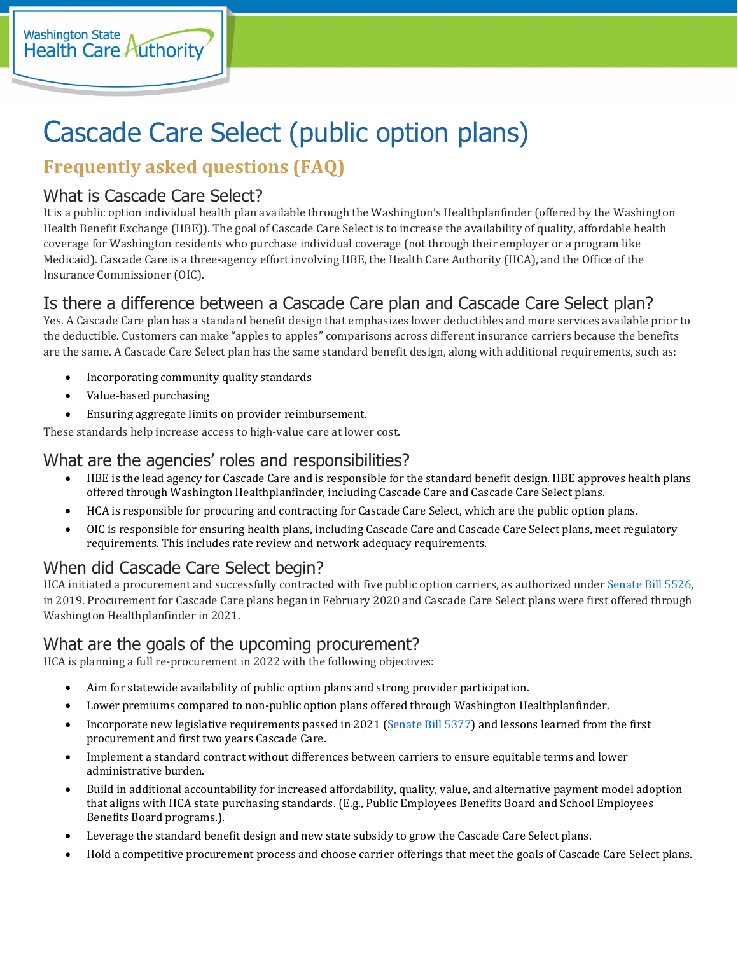# Cascade Care Select (public option plans)

## **Frequently asked questions (FAQ)**

## What is Cascade Care Select?

It is a public option individual health plan available through the Washington's Healthplanfinder (offered by the Washington Health Benefit Exchange (HBE)). The goal of Cascade Care Select is to increase the availability of quality, affordable health coverage for Washington residents who purchase individual coverage (not through their employer or a program like Medicaid). Cascade Care is a three-agency effort involving HBE, the Health Care Authority (HCA), and the Office of the Insurance Commissioner (OIC).

## Is there a difference between a Cascade Care plan and Cascade Care Select plan?

Yes. A Cascade Care plan has a standard benefit design that emphasizes lower deductibles and more services available prior to the deductible. Customers can make "apples to apples" comparisons across different insurance carriers because the benefits are the same. A Cascade Care Select plan has the same standard benefit design, along with additional requirements, such as:

- Incorporating community quality standards
- Value-based purchasing
- Ensuring aggregate limits on provider reimbursement.

These standards help increase access to high-value care at lower cost.

#### What are the agencies' roles and responsibilities?

- HBE is the lead agency for Cascade Care and is responsible for the standard benefit design. HBE approves health plans offered through Washington Healthplanfinder, including Cascade Care and Cascade Care Select plans.
- HCA is responsible for procuring and contracting for Cascade Care Select, which are the public option plans.
- OIC is responsible for ensuring health plans, including Cascade Care and Cascade Care Select plans, meet regulatory requirements. This includes rate review and network adequacy requirements.

## When did Cascade Care Select begin?

HCA initiated a procurement and successfully contracted with five public option carriers, as authorized unde[r Senate Bill](https://lawfilesext.leg.wa.gov/biennium/2019-20/Pdf/Bills/Session%20Laws/Senate/5526-S.SL.pdf) 5526, in 2019. Procurement for Cascade Care plans began in February 2020 and Cascade Care Select plans were first offered through Washington Healthplanfinder in 2021.

## What are the goals of the upcoming procurement?

HCA is planning a full re-procurement in 2022 with the following objectives:

- Aim for statewide availability of public option plans and strong provider participation.
- Lower premiums compared to non-public option plans offered through Washington Healthplanfinder.
- Incorporate new legislative requirements passed in 2021 [\(Senate Bill](http://lawfilesext.leg.wa.gov/biennium/2021-22/Pdf/Bills/Session%20Laws/Senate/5377-S2.SL.pdf?q=20210615170717) 5377) and lessons learned from the first procurement and first two years Cascade Care.
- Implement a standard contract without differences between carriers to ensure equitable terms and lower administrative burden.
- Build in additional accountability for increased affordability, quality, value, and alternative payment model adoption that aligns with HCA state purchasing standards. (E.g., Public Employees Benefits Board and School Employees Benefits Board programs.).
- Leverage the standard benefit design and new state subsidy to grow the Cascade Care Select plans.
- Hold a competitive procurement process and choose carrier offerings that meet the goals of Cascade Care Select plans.